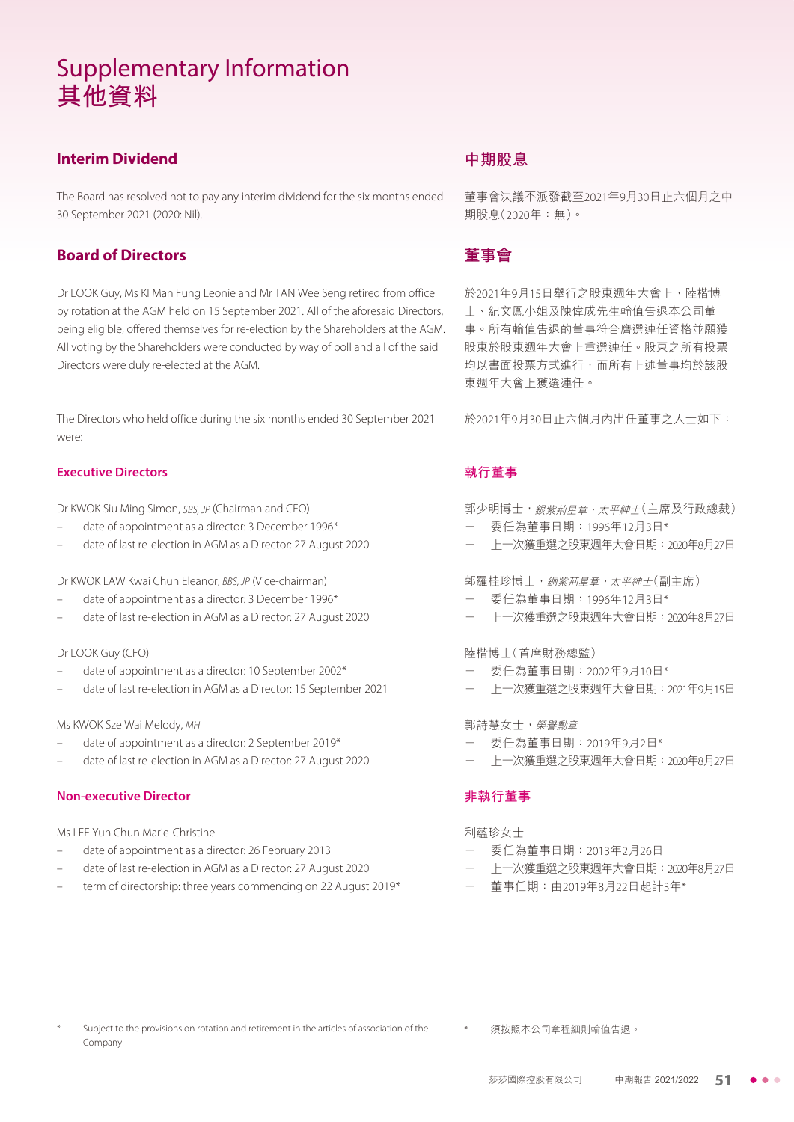### **Interim Dividend**

The Board has resolved not to pay any interim dividend for the six months ended 30 September 2021 (2020: Nil).

#### **Board of Directors**

Dr LOOK Guy, Ms KI Man Fung Leonie and Mr TAN Wee Seng retired from office by rotation at the AGM held on 15 September 2021. All of the aforesaid Directors, being eligible, offered themselves for re-election by the Shareholders at the AGM. All voting by the Shareholders were conducted by way of poll and all of the said Directors were duly re-elected at the AGM.

The Directors who held office during the six months ended 30 September 2021 were:

#### **Executive Directors**

Dr KWOK Siu Ming Simon, SBS, JP (Chairman and CEO)

- date of appointment as a director: 3 December 1996\*
- date of last re-election in AGM as a Director: 27 August 2020

Dr KWOK LAW Kwai Chun Eleanor, BBS, JP (Vice-chairman)

- date of appointment as a director: 3 December 1996\*
- date of last re-election in AGM as a Director: 27 August 2020

#### Dr LOOK Guy (CFO)

- date of appointment as a director: 10 September 2002\*
- date of last re-election in AGM as a Director: 15 September 2021

Ms KWOK Sze Wai Melody, MH

- date of appointment as a director: 2 September 2019\*
- date of last re-election in AGM as a Director: 27 August 2020

#### **Non-executive Director**

Ms LEE Yun Chun Marie-Christine

- date of appointment as a director: 26 February 2013
- date of last re-election in AGM as a Director: 27 August 2020
- term of directorship: three years commencing on 22 August 2019\*

### **中期股息**

董事會決議不派發截至2021年9月30日止六個月之中 期股息(2020年:無)。

### **董事會**

於2021年9月15日舉行之股東週年大會上,陸楷博 士、紀文鳳小姐及陳偉成先生輪值告退本公司董 事。所有輪值告退的董事符合膺選連任資格並願獲 股東於股東週年大會上重選連任。股東之所有投票 均以書面投票方式進行,而所有上述董事均於該股 東週年大會上獲選連任。

於2021年9月30日止六個月內出任董事之人士如下:

#### **執行董事**

郭少明博士,銀紫荊星章,太平紳士(主席及行政總裁)

- 委任為董事日期:1996年12月3日\*
- 上一次獲重選之股東週年大會日期:2020年8月27日

郭羅桂珍博十, 銅紫荊星章, 太平紳士(副主席)

- 委任為董事日期:1996年12月3日\*
- 上一次獲重選之股東週年大會日期:2020年8月27日

陸楷博士(首席財務總監)

- 委任為董事日期:2002年9月10日\*
- 上一次獲重選之股東週年大會日期:2021年9月15日

#### 郭詩慧女士,榮譽勳章

- 委任為董事日期:2019年9月2日\*
- 上一次獲重選之股東週年大會日期:2020年8月27日

#### **非執行董事**

利蘊珍女士

- 委任為董事日期:2013年2月26日
- 上一次獲重選之股東週年大會日期:2020年8月27日
- 董事任期:由2019年8月22日起計3年\*

- Subject to the provisions on rotation and retirement in the articles of association of the  $\qquad\qquad$  \* 須按照本公司章程細則輪值告退。 Company.
	-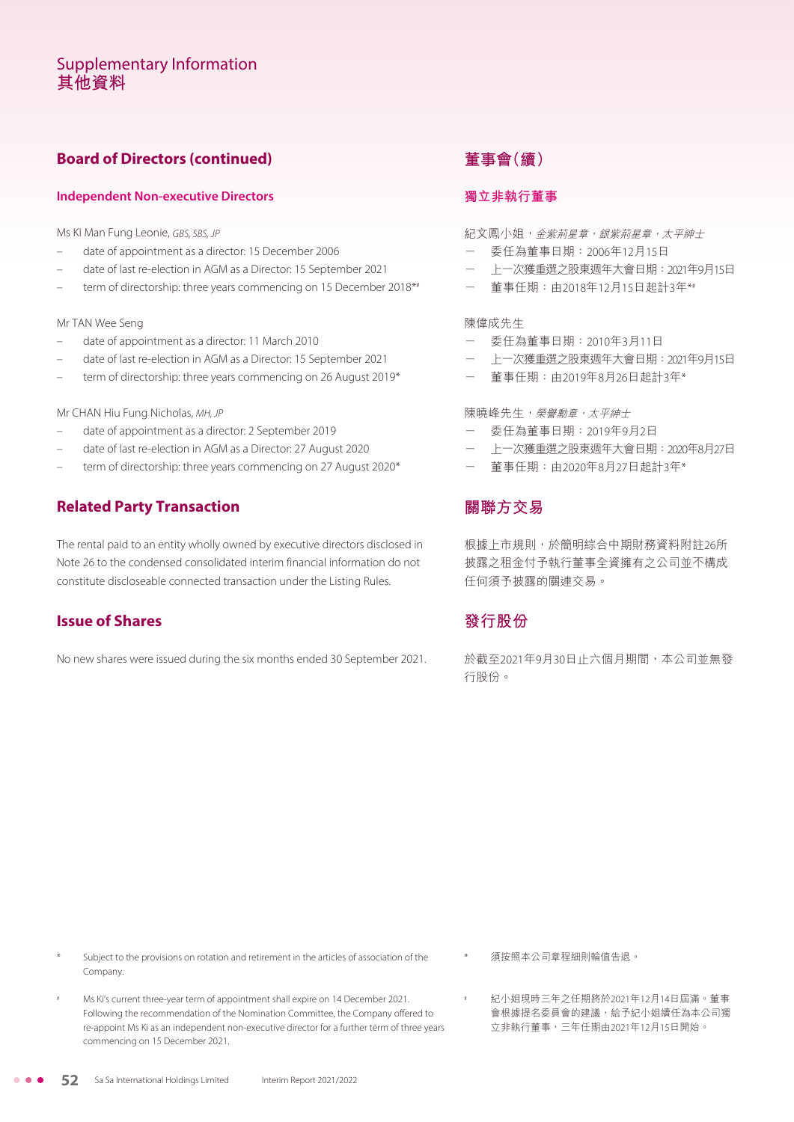### **Board of Directors (continued)**

#### **Independent Non-executive Directors**

Ms KI Man Fung Leonie, GBS, SBS, JP

- date of appointment as a director: 15 December 2006
- date of last re-election in AGM as a Director: 15 September 2021
- term of directorship: three years commencing on 15 December 2018\*#

#### Mr TAN Wee Seng

- date of appointment as a director: 11 March 2010
- date of last re-election in AGM as a Director: 15 September 2021
- term of directorship: three years commencing on 26 August 2019\*

#### Mr CHAN Hiu Fung Nicholas, MH, JP

- date of appointment as a director: 2 September 2019
- date of last re-election in AGM as a Director: 27 August 2020
- term of directorship: three years commencing on 27 August 2020\*

### **Related Party Transaction**

The rental paid to an entity wholly owned by executive directors disclosed in Note 26 to the condensed consolidated interim financial information do not constitute discloseable connected transaction under the Listing Rules.

### **Issue of Shares**

No new shares were issued during the six months ended 30 September 2021.

### **董事會(續)**

#### **獨立非執行董事**

紀文鳳小姐,金紫荊星章, <br>紀文鳳小姐,金紫荊星章, 銀紫荊星章, 太平紳士

- 委任為董事日期:2006年12月15日
- 上一次獲重選之股東週年大會日期:2021年9月15日
- 董事任期:由2018年12月15日起計3年\*#

#### 陳偉成先生

- 委任為董事日期:2010年3月11日
- 上一次獲重選之股東週年大會日期:2021年9月15日
- 董事任期:由2019年8月26日起計3年\*

#### 陳曉峰先生,榮譽勳章,太平紳士

- 委任為董事日期:2019年9月2日
- 上一次獲重選之股東週年大會日期:2020年8月27日
- 董事任期:由2020年8月27日起計3年\*

### **關聯方交易**

根據上市規則,於簡明綜合中期財務資料附註26所 披露之租金付予執行董事全資擁有之公司並不構成 任何須予披露的關連交易。

### **發行股份**

於截至2021年9月30日止六個月期間,本公司並無發 行股份。

Subject to the provisions on rotation and retirement in the articles of association of the Company.

Ms Ki's current three-year term of appointment shall expire on 14 December 2021. Following the recommendation of the Nomination Committee, the Company offered to re-appoint Ms Ki as an independent non-executive director for a further term of three years commencing on 15 December 2021.

紀小姐現時三年之任期將於2021年12月14日屆滿。董事 會根據提名委員會的建議,給予紀小姐續任為本公司獨 立非執行董事,三年任期由2021年12月15日開始。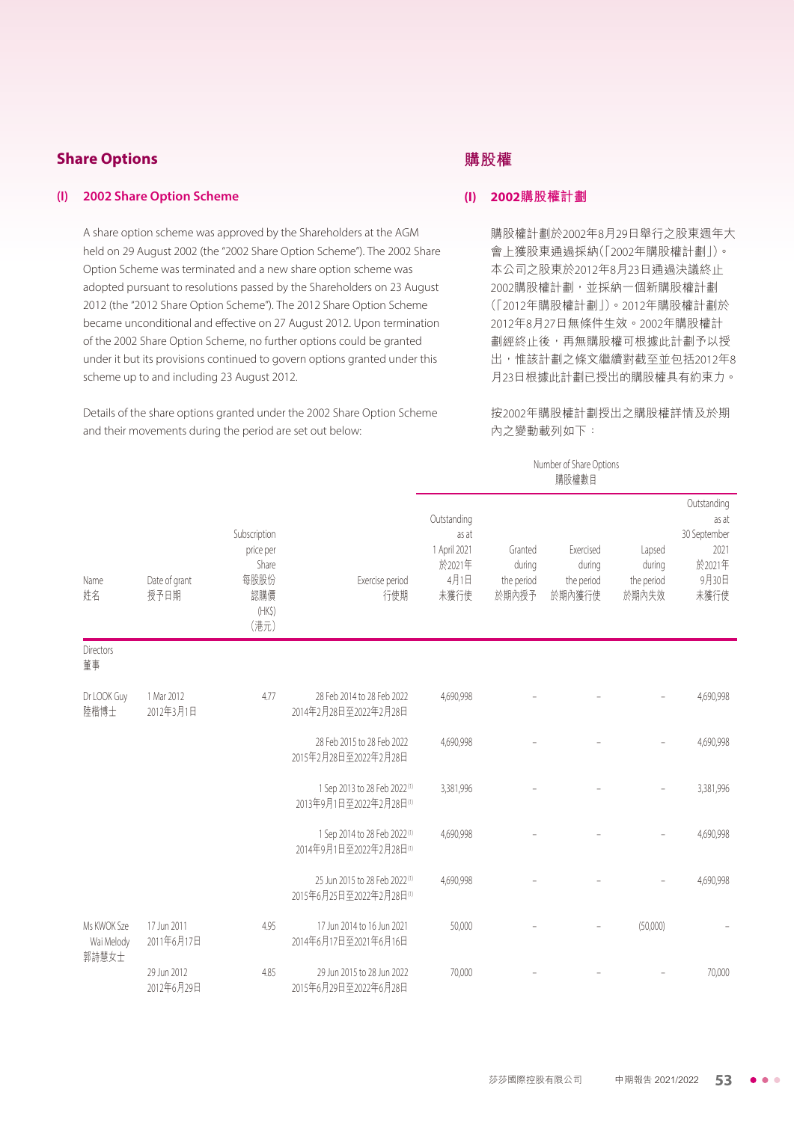### **Share Options**

#### **(I) 2002 Share Option Scheme**

A share option scheme was approved by the Shareholders at the AGM held on 29 August 2002 (the "2002 Share Option Scheme"). The 2002 Share Option Scheme was terminated and a new share option scheme was adopted pursuant to resolutions passed by the Shareholders on 23 August 2012 (the "2012 Share Option Scheme"). The 2012 Share Option Scheme became unconditional and effective on 27 August 2012. Upon termination of the 2002 Share Option Scheme, no further options could be granted under it but its provisions continued to govern options granted under this scheme up to and including 23 August 2012.

Details of the share options granted under the 2002 Share Option Scheme and their movements during the period are set out below:

### **購股權**

#### **(I) 2002購股權計劃**

購股權計劃於2002年8月29日舉行之股東週年大 會上獲股東通過採納(「2002年購股權計劃」)。 本公司之股東於2012年8月23日通過決議終止 2002購股權計劃,並採納一個新購股權計劃 (「2012年購股權計劃」)。2012年購股權計劃於 2012年8月27日無條件生效。2002年購股權計 劃經終止後,再無購股權可根據此計劃予以授 出,惟該計劃之條文繼續對截至並包括2012年8 月23日根據此計劃已授出的購股權具有約束力。

按2002年購股權計劃授出之購股權詳情及於期 內之變動載列如下:

#### Number of Share Options 購股權數目

| Name<br>姓名                | Date of grant<br>授予日期     | Subscription<br>price per<br>Share<br>每股股份<br>認購價<br>$(HK\$<br>(港元) | Exercise period<br>行使期                                    | Outstanding<br>as at<br>1 April 2021<br>於2021年<br>4月1日<br>未獲行使 | Granted<br>during<br>the period<br>於期內授予 | Exercised<br>during<br>the period<br>於期內獲行使 | Lapsed<br>during<br>the period<br>於期內失效 | Outstanding<br>as at<br>30 September<br>2021<br>於2021年<br>9月30日<br>未獲行使 |
|---------------------------|---------------------------|---------------------------------------------------------------------|-----------------------------------------------------------|----------------------------------------------------------------|------------------------------------------|---------------------------------------------|-----------------------------------------|-------------------------------------------------------------------------|
| <b>Directors</b><br>董事    |                           |                                                                     |                                                           |                                                                |                                          |                                             |                                         |                                                                         |
| Dr LOOK Guy<br>陸楷博士       | 1 Mar 2012<br>2012年3月1日   | 4.77                                                                | 28 Feb 2014 to 28 Feb 2022<br>2014年2月28日至2022年2月28日       | 4,690,998                                                      |                                          |                                             |                                         | 4,690,998                                                               |
|                           |                           |                                                                     | 28 Feb 2015 to 28 Feb 2022<br>2015年2月28日至2022年2月28日       | 4,690,998                                                      |                                          |                                             |                                         | 4,690,998                                                               |
|                           |                           |                                                                     | 1 Sep 2013 to 28 Feb 2022(1)<br>2013年9月1日至2022年2月28日(1)   | 3,381,996                                                      |                                          |                                             |                                         | 3,381,996                                                               |
|                           |                           |                                                                     | 1 Sep 2014 to 28 Feb 2022(1)<br>2014年9月1日至2022年2月28日(1)   | 4,690,998                                                      |                                          |                                             |                                         | 4,690,998                                                               |
|                           |                           |                                                                     | 25 Jun 2015 to 28 Feb 2022(1)<br>2015年6月25日至2022年2月28日(1) | 4,690,998                                                      |                                          |                                             |                                         | 4,690,998                                                               |
| Ms KWOK Sze<br>Wai Melody | 17 Jun 2011<br>2011年6月17日 | 4.95                                                                | 17 Jun 2014 to 16 Jun 2021<br>2014年6月17日至2021年6月16日       | 50,000                                                         |                                          |                                             | (50,000)                                |                                                                         |
| 郭詩慧女士                     | 29 Jun 2012<br>2012年6月29日 | 4.85                                                                | 29 Jun 2015 to 28 Jun 2022<br>2015年6月29日至2022年6月28日       | 70,000                                                         |                                          |                                             |                                         | 70,000                                                                  |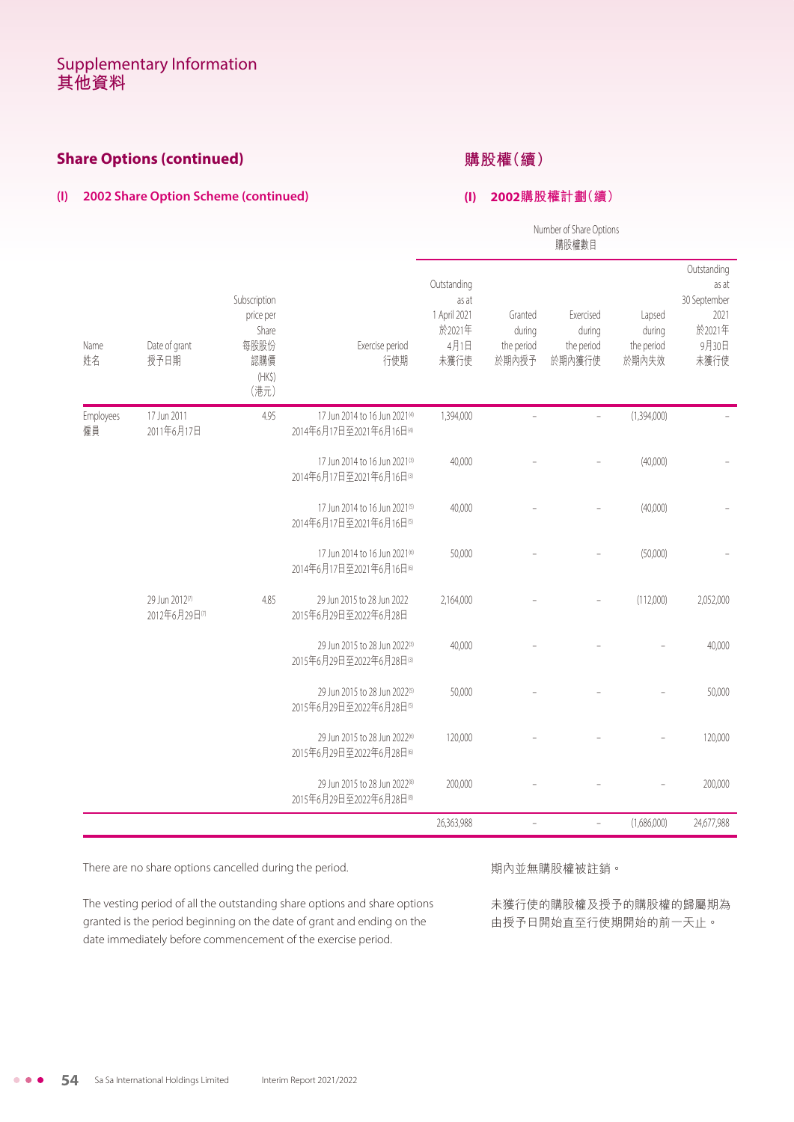### **Share Options (continued)**

### **購股權(續)**

#### **(I) 2002 Share Option Scheme (continued)**

#### **(I) 2002購股權計劃(續)**

Number of Share Options 購股權數目

| Name<br>姓名      | Date of grant<br>授予日期           | Subscription<br>price per<br>Share<br>每股股份<br>認購價<br>$(HK\$<br>(港元) | Exercise period<br>行使期                                                | Outstanding<br>as at<br>1 April 2021<br>於2021年<br>4月1日<br>未獲行使 | Granted<br>during<br>the period<br>於期內授予 | Exercised<br>during<br>the period<br>於期內獲行使 | Lapsed<br>during<br>the period<br>於期內失效 | Outstanding<br>as at<br>30 September<br>2021<br>於2021年<br>9月30日<br>未獲行使 |
|-----------------|---------------------------------|---------------------------------------------------------------------|-----------------------------------------------------------------------|----------------------------------------------------------------|------------------------------------------|---------------------------------------------|-----------------------------------------|-------------------------------------------------------------------------|
| Employees<br>僱員 | 17 Jun 2011<br>2011年6月17日       | 4.95                                                                | 17 Jun 2014 to 16 Jun 2021 <sup>(4)</sup><br>2014年6月17日至2021年6月16日(4) | 1,394,000                                                      |                                          |                                             | (1,394,000)                             |                                                                         |
|                 |                                 |                                                                     | 17 Jun 2014 to 16 Jun 2021(3)<br>2014年6月17日至2021年6月16日(3)             | 40,000                                                         |                                          |                                             | (40,000)                                |                                                                         |
|                 |                                 |                                                                     | 17 Jun 2014 to 16 Jun 2021 <sup>(5)</sup><br>2014年6月17日至2021年6月16日(5) | 40,000                                                         |                                          |                                             | (40,000)                                |                                                                         |
|                 |                                 |                                                                     | 17 Jun 2014 to 16 Jun 2021 <sup>(6)</sup><br>2014年6月17日至2021年6月16日6   | 50,000                                                         |                                          |                                             | (50,000)                                |                                                                         |
|                 | 29 Jun 2012(7)<br>2012年6月29日(7) | 4.85                                                                | 29 Jun 2015 to 28 Jun 2022<br>2015年6月29日至2022年6月28日                   | 2,164,000                                                      |                                          |                                             | (112,000)                               | 2,052,000                                                               |
|                 |                                 |                                                                     | 29 Jun 2015 to 28 Jun 2022(3)<br>2015年6月29日至2022年6月28日(3)             | 40,000                                                         |                                          |                                             |                                         | 40,000                                                                  |
|                 |                                 |                                                                     | 29 Jun 2015 to 28 Jun 2022(5)<br>2015年6月29日至2022年6月28日(5)             | 50,000                                                         |                                          |                                             |                                         | 50,000                                                                  |
|                 |                                 |                                                                     | 29 Jun 2015 to 28 Jun 2022(6)<br>2015年6月29日至2022年6月28日6               | 120,000                                                        |                                          |                                             |                                         | 120,000                                                                 |
|                 |                                 |                                                                     | 29 Jun 2015 to 28 Jun 2022(8)<br>2015年6月29日至2022年6月28日®               | 200,000                                                        |                                          |                                             |                                         | 200,000                                                                 |
|                 |                                 |                                                                     |                                                                       | 26,363,988                                                     | $\bar{a}$                                | $\bar{ }$                                   | (1,686,000)                             | 24,677,988                                                              |

There are no share options cancelled during the period.

The vesting period of all the outstanding share options and share options granted is the period beginning on the date of grant and ending on the date immediately before commencement of the exercise period.

期內並無購股權被註銷。

未獲行使的購股權及授予的購股權的歸屬期為 由授予日開始直至行使期開始的前一天止。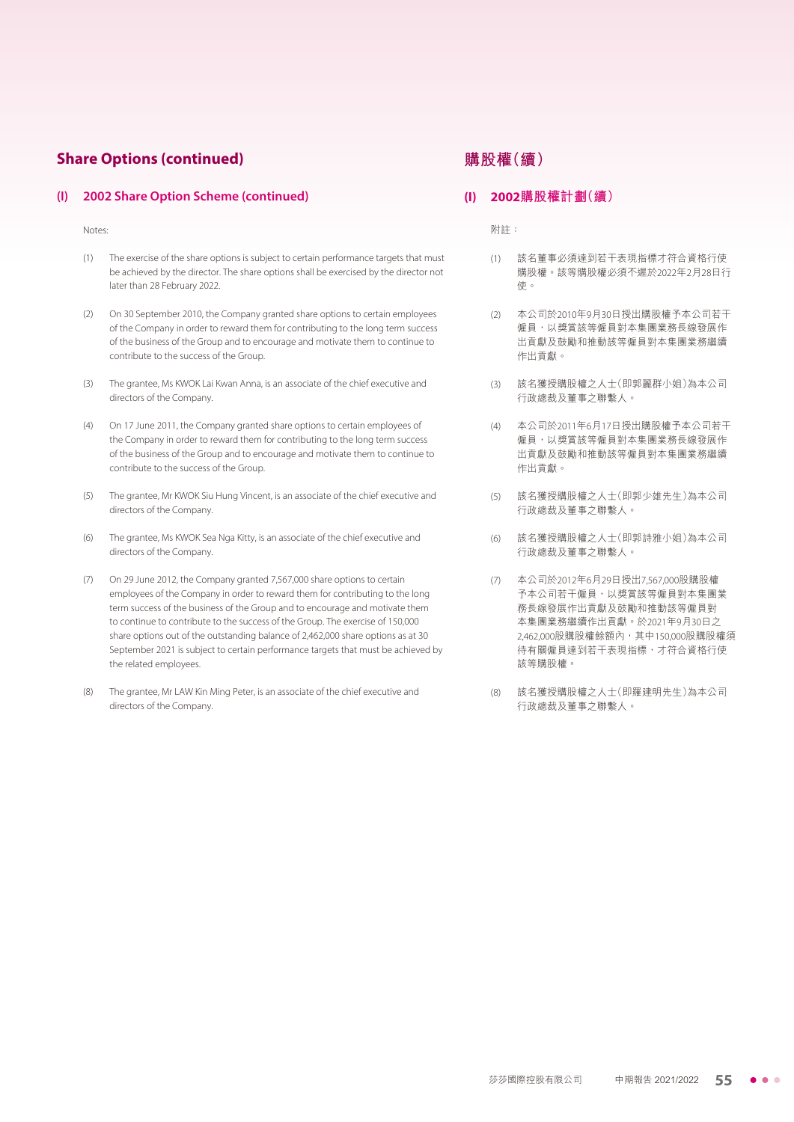#### **Share Options (continued)**

#### **(I) 2002 Share Option Scheme (continued)**

Notes:

- (1) The exercise of the share options is subject to certain performance targets that must be achieved by the director. The share options shall be exercised by the director not later than 28 February 2022.
- (2) On 30 September 2010, the Company granted share options to certain employees of the Company in order to reward them for contributing to the long term success of the business of the Group and to encourage and motivate them to continue to contribute to the success of the Group.
- (3) The grantee, Ms KWOK Lai Kwan Anna, is an associate of the chief executive and directors of the Company.
- (4) On 17 June 2011, the Company granted share options to certain employees of the Company in order to reward them for contributing to the long term success of the business of the Group and to encourage and motivate them to continue to contribute to the success of the Group.
- (5) The grantee, Mr KWOK Siu Hung Vincent, is an associate of the chief executive and directors of the Company.
- (6) The grantee, Ms KWOK Sea Nga Kitty, is an associate of the chief executive and directors of the Company.
- (7) On 29 June 2012, the Company granted 7,567,000 share options to certain employees of the Company in order to reward them for contributing to the long term success of the business of the Group and to encourage and motivate them to continue to contribute to the success of the Group. The exercise of 150,000 share options out of the outstanding balance of 2,462,000 share options as at 30 September 2021 is subject to certain performance targets that must be achieved by the related employees.
- (8) The grantee, Mr LAW Kin Ming Peter, is an associate of the chief executive and directors of the Company.

### **購股權(續)**

#### **(I) 2002購股權計劃(續)**

附註:

- (1) 該名董事必須達到若干表現指標才符合資格行使 購股權。該等購股權必須不遲於2022年2月28日行 使。
- (2) 本公司於2010年9月30日授出購股權予本公司若干 僱員,以獎賞該等僱員對本集團業務長線發展作 出貢獻及鼓勵和推動該等僱員對本集團業務繼續 作出貢獻。
- (3) 該名獲授購股權之人士(即郭麗群小姐)為本公司 行政總裁及董事之聯繫人。
- (4) 本公司於2011年6月17日授出購股權予本公司若干 僱員,以獎賞該等僱員對本集團業務長線發展作 出貢獻及鼓勵和推動該等僱員對本集團業務繼續 作出貢獻。
- (5) 該名獲授購股權之人士(即郭少雄先生)為本公司 行政總裁及董事之聯繫人。
- (6) 該名獲授購股權之人士(即郭詩雅小姐)為本公司 行政總裁及董事之聯繫人。
- (7) 本公司於2012年6月29日授出7,567,000股購股權 予本公司若干僱員,以獎賞該等僱員對本集團業 務長線發展作出貢獻及鼓勵和推動該等僱員對 本集團業務繼續作出貢獻。於2021年9月30日之 2,462,000股購股權餘額內,其中150,000股購股權須 待有關僱員達到若干表現指標,才符合資格行使 該等購股權。
- (8) 該名獲授購股權之人士(即羅建明先生)為本公司 行政總裁及董事之聯繫人。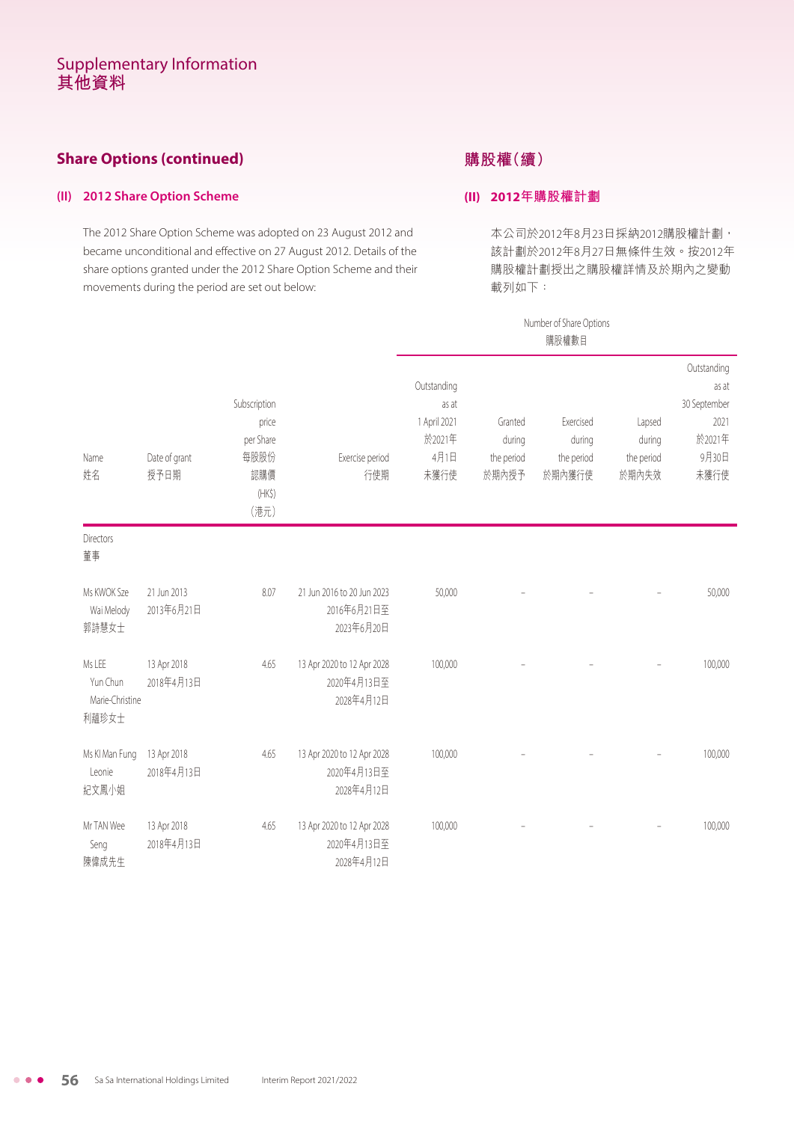### **Share Options (continued)**

#### **(II) 2012 Share Option Scheme**

The 2012 Share Option Scheme was adopted on 23 August 2012 and became unconditional and effective on 27 August 2012. Details of the share options granted under the 2012 Share Option Scheme and their movements during the period are set out below:

### **購股權(續)**

#### **(II) 2012年購股權計劃**

本公司於2012年8月23日採納2012購股權計劃, 該計劃於2012年8月27日無條件生效。按2012年 購股權計劃授出之購股權詳情及於期內之變動 載列如下:

|                                                |                           |                                                                     |                                                         | Number of Share Options<br>購股權數目                               |                                          |                                             |                                         |                                                                         |  |  |
|------------------------------------------------|---------------------------|---------------------------------------------------------------------|---------------------------------------------------------|----------------------------------------------------------------|------------------------------------------|---------------------------------------------|-----------------------------------------|-------------------------------------------------------------------------|--|--|
| Name<br>姓名                                     | Date of grant<br>授予日期     | Subscription<br>price<br>per Share<br>每股股份<br>認購價<br>$(HK\$<br>(港元) | Exercise period<br>行使期                                  | Outstanding<br>as at<br>1 April 2021<br>於2021年<br>4月1日<br>未獲行使 | Granted<br>during<br>the period<br>於期內授予 | Exercised<br>during<br>the period<br>於期內獲行使 | Lapsed<br>during<br>the period<br>於期內失效 | Outstanding<br>as at<br>30 September<br>2021<br>於2021年<br>9月30日<br>未獲行使 |  |  |
| Directors<br>董事                                |                           |                                                                     |                                                         |                                                                |                                          |                                             |                                         |                                                                         |  |  |
| Ms KWOK Sze<br>Wai Melody<br>郭詩慧女士             | 21 Jun 2013<br>2013年6月21日 | 8.07                                                                | 21 Jun 2016 to 20 Jun 2023<br>2016年6月21日至<br>2023年6月20日 | 50,000                                                         |                                          |                                             |                                         | 50,000                                                                  |  |  |
| Ms LEE<br>Yun Chun<br>Marie-Christine<br>利蘊珍女士 | 13 Apr 2018<br>2018年4月13日 | 4.65                                                                | 13 Apr 2020 to 12 Apr 2028<br>2020年4月13日至<br>2028年4月12日 | 100,000                                                        |                                          |                                             |                                         | 100,000                                                                 |  |  |
| Ms KI Man Fung<br>Leonie<br>紀文鳳小姐              | 13 Apr 2018<br>2018年4月13日 | 4.65                                                                | 13 Apr 2020 to 12 Apr 2028<br>2020年4月13日至<br>2028年4月12日 | 100,000                                                        |                                          |                                             |                                         | 100,000                                                                 |  |  |
| Mr TAN Wee<br>Seng<br>陳偉成先生                    | 13 Apr 2018<br>2018年4月13日 | 4.65                                                                | 13 Apr 2020 to 12 Apr 2028<br>2020年4月13日至<br>2028年4月12日 | 100,000                                                        |                                          |                                             |                                         | 100,000                                                                 |  |  |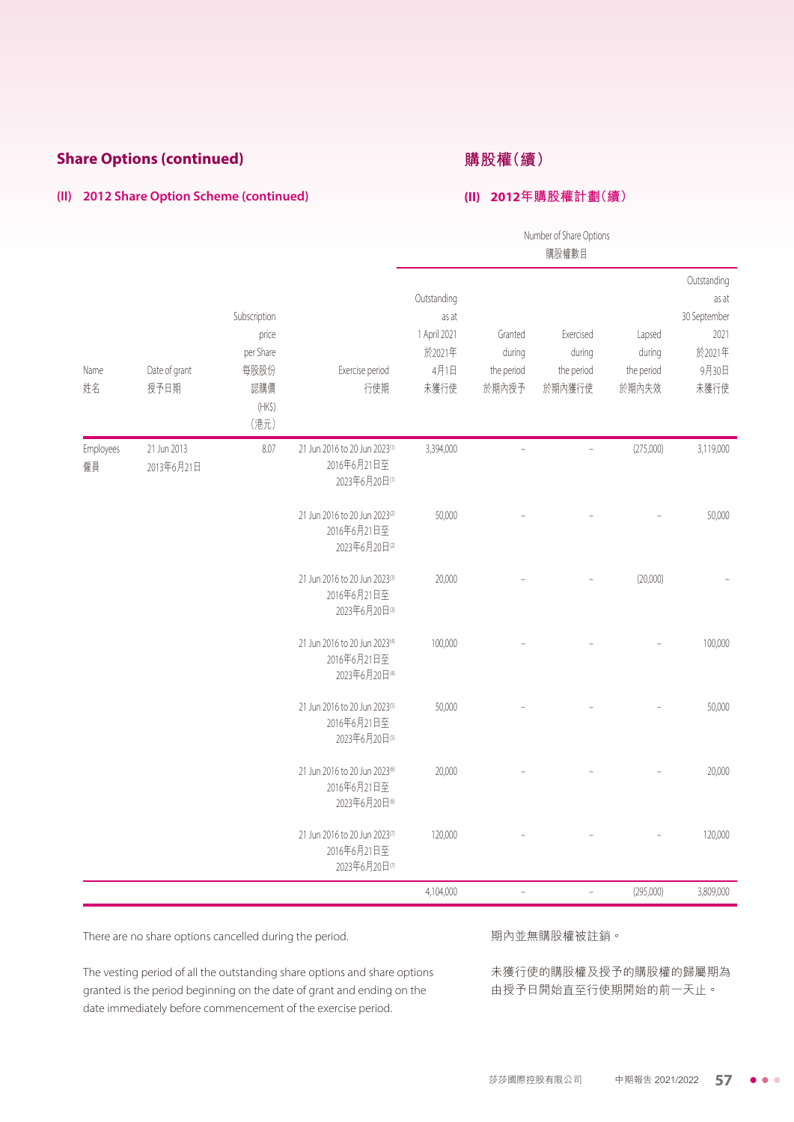### **Share Options (continued)**

### **購股權(續)**

#### **(II) 2012年購股權計劃(續)**

#### **(II) 2012 Share Option Scheme (continued)**

|                 |                           |                                                                          |                                                                           |                                                                |                                          | Number of Share Options<br>購股權數目            |                                         |                                                                         |
|-----------------|---------------------------|--------------------------------------------------------------------------|---------------------------------------------------------------------------|----------------------------------------------------------------|------------------------------------------|---------------------------------------------|-----------------------------------------|-------------------------------------------------------------------------|
| Name<br>姓名      | Date of grant<br>授予日期     | Subscription<br>price<br>per Share<br>每股股份<br>認購價<br>$(HK\zeta)$<br>(港元) | Exercise period<br>行使期                                                    | Outstanding<br>as at<br>1 April 2021<br>於2021年<br>4月1日<br>未獲行使 | Granted<br>during<br>the period<br>於期內授予 | Exercised<br>during<br>the period<br>於期內獲行使 | Lapsed<br>during<br>the period<br>於期內失效 | Outstanding<br>as at<br>30 September<br>2021<br>於2021年<br>9月30日<br>未獲行使 |
| Employees<br>僱員 | 21 Jun 2013<br>2013年6月21日 | 8.07                                                                     | 21 Jun 2016 to 20 Jun 2023(1)<br>2016年6月21日至<br>2023年6月20日(1)             | 3,394,000                                                      | $\overline{a}$                           | $\frac{1}{2}$                               | (275,000)                               | 3,119,000                                                               |
|                 |                           |                                                                          | 21 Jun 2016 to 20 Jun 2023(2)<br>2016年6月21日至<br>2023年6月20日(2)             | 50,000                                                         |                                          |                                             |                                         | 50,000                                                                  |
|                 |                           |                                                                          | 21 Jun 2016 to 20 Jun 2023(3)<br>2016年6月21日至<br>2023年6月20日(3)             | 20,000                                                         |                                          |                                             | (20,000)                                |                                                                         |
|                 |                           |                                                                          | 21 Jun 2016 to 20 Jun 2023(4)<br>2016年6月21日至<br>2023年6月20日(4)             | 100,000                                                        |                                          |                                             |                                         | 100,000                                                                 |
|                 |                           |                                                                          | 21 Jun 2016 to 20 Jun 2023 <sup>(5)</sup><br>2016年6月21日至<br>2023年6月20日(5) | 50,000                                                         |                                          |                                             |                                         | 50,000                                                                  |
|                 |                           |                                                                          | 21 Jun 2016 to 20 Jun 2023 <sup>(6)</sup><br>2016年6月21日至<br>2023年6月20日6   | 20,000                                                         |                                          |                                             |                                         | 20,000                                                                  |
|                 |                           |                                                                          | 21 Jun 2016 to 20 Jun 2023(7)<br>2016年6月21日至<br>2023年6月20日(7)             | 120,000                                                        |                                          |                                             |                                         | 120,000                                                                 |
|                 |                           |                                                                          |                                                                           | 4,104,000                                                      | $\overline{a}$                           | $\frac{1}{2}$                               | (295,000)                               | 3,809,000                                                               |

There are no share options cancelled during the period.

#### 期內並無購股權被註銷。

The vesting period of all the outstanding share options and share options granted is the period beginning on the date of grant and ending on the date immediately before commencement of the exercise period.

未獲行使的購股權及授予的購股權的歸屬期為 由授予日開始直至行使期開始的前一天止。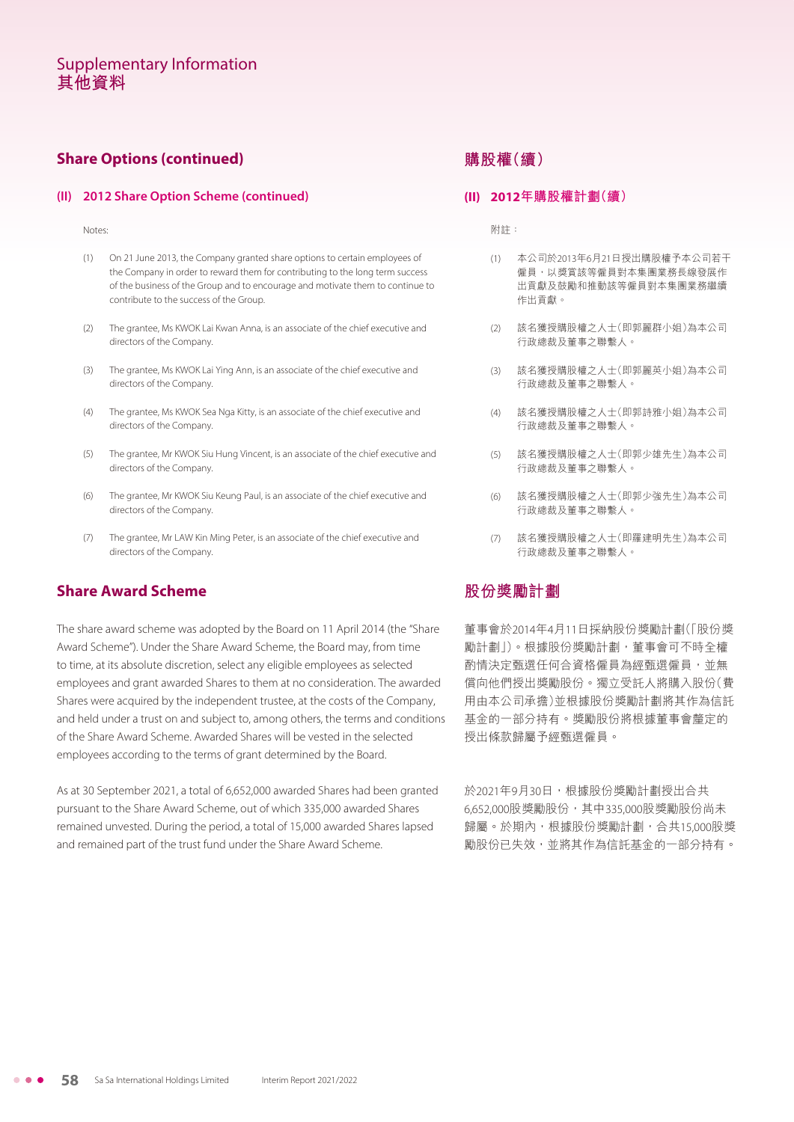### **Share Options (continued)**

#### **(II) 2012 Share Option Scheme (continued)**

Notes:

- (1) On 21 June 2013, the Company granted share options to certain employees of the Company in order to reward them for contributing to the long term success of the business of the Group and to encourage and motivate them to continue to contribute to the success of the Group.
- (2) The grantee, Ms KWOK Lai Kwan Anna, is an associate of the chief executive and directors of the Company.
- (3) The grantee, Ms KWOK Lai Ying Ann, is an associate of the chief executive and directors of the Company.
- (4) The grantee, Ms KWOK Sea Nga Kitty, is an associate of the chief executive and directors of the Company.
- (5) The grantee, Mr KWOK Siu Hung Vincent, is an associate of the chief executive and directors of the Company.
- (6) The grantee, Mr KWOK Siu Keung Paul, is an associate of the chief executive and directors of the Company.
- (7) The grantee, Mr LAW Kin Ming Peter, is an associate of the chief executive and directors of the Company.

#### **Share Award Scheme**

The share award scheme was adopted by the Board on 11 April 2014 (the "Share Award Scheme"). Under the Share Award Scheme, the Board may, from time to time, at its absolute discretion, select any eligible employees as selected employees and grant awarded Shares to them at no consideration. The awarded Shares were acquired by the independent trustee, at the costs of the Company, and held under a trust on and subject to, among others, the terms and conditions of the Share Award Scheme. Awarded Shares will be vested in the selected employees according to the terms of grant determined by the Board.

As at 30 September 2021, a total of 6,652,000 awarded Shares had been granted pursuant to the Share Award Scheme, out of which 335,000 awarded Shares remained unvested. During the period, a total of 15,000 awarded Shares lapsed and remained part of the trust fund under the Share Award Scheme.

### **購股權(續)**

#### **(II) 2012年購股權計劃(續)**

附註:

- (1) 本公司於2013年6月21日授出購股權予本公司若干 僱員,以獎賞該等僱員對本集團業務長線發展作 出貢獻及鼓勵和推動該等僱員對本集團業務繼續 作出貢獻。
- (2) 該名獲授購股權之人士(即郭麗群小姐)為本公司 行政總裁及董事之聯繫人。
- (3) 該名獲授購股權之人士(即郭麗英小姐)為本公司 行政總裁及董事之聯繫人。
- (4) 該名獲授購股權之人士(即郭詩雅小姐)為本公司 行政總裁及董事之聯繫人。
- (5) 該名獲授購股權之人士(即郭少雄先生)為本公司 行政總裁及董事之聯繫人。
- (6) 該名獲授購股權之人士(即郭少強先生)為本公司 行政總裁及董事之聯繫人。
- (7) 該名獲授購股權之人士(即羅建明先生)為本公司 行政總裁及董事之聯繫人。

### **股份獎勵計劃**

董事會於2014年4月11日採納股份獎勵計劃(「股份獎 勵計劃」)。根據股份獎勵計劃,董事會可不時全權 酌情決定甄選任何合資格僱員為經甄選僱員,並無 償向他們授出獎勵股份。獨立受託人將購入股份(費 用由本公司承擔)並根據股份獎勵計劃將其作為信託 基金的一部分持有。獎勵股份將根據董事會釐定的 授出條款歸屬予經甄選僱員。

於2021年9月30日,根據股份獎勵計劃授出合共 6,652,000股獎勵股份,其中335,000股獎勵股份尚未 歸屬。於期內,根據股份獎勵計劃,合共15,000股獎 勵股份已失效,並將其作為信託基金的一部分持有。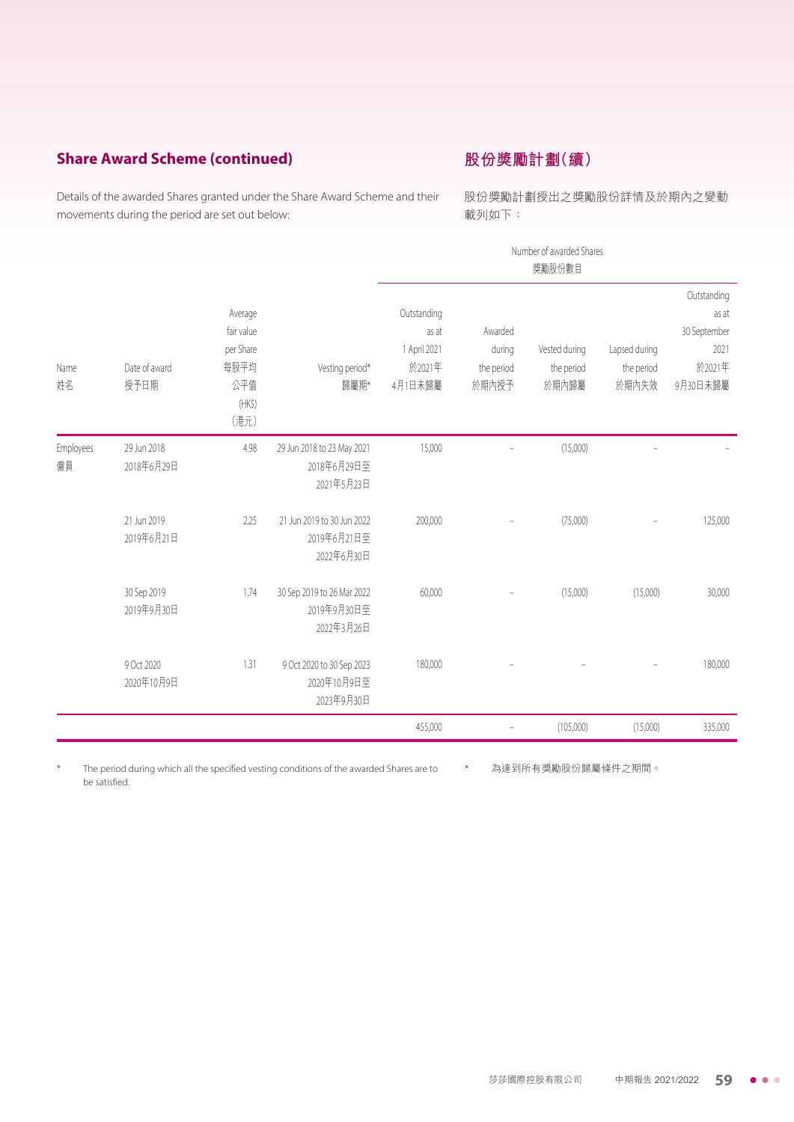### **Share Award Scheme (continued)**

### **股份獎勵計劃(續)**

Details of the awarded Shares granted under the Share Award Scheme and their movements during the period are set out below:

股份獎勵計劃授出之獎勵股份詳情及於期內之變動 載列如下:

|                 |                           |                                                                     |                                                         | Number of awarded Shares<br>獎勵股份數目                        |                                          |                                      |                                      |                                                                    |  |
|-----------------|---------------------------|---------------------------------------------------------------------|---------------------------------------------------------|-----------------------------------------------------------|------------------------------------------|--------------------------------------|--------------------------------------|--------------------------------------------------------------------|--|
| Name<br>姓名      | Date of award<br>授予日期     | Average<br>fair value<br>per Share<br>每股平均<br>公平值<br>$(HK\$<br>(港元) | Vesting period*<br>歸屬期*                                 | Outstanding<br>as at<br>1 April 2021<br>於2021年<br>4月1日未歸屬 | Awarded<br>during<br>the period<br>於期內授予 | Vested during<br>the period<br>於期內歸屬 | Lapsed during<br>the period<br>於期內失效 | Outstanding<br>as at<br>30 September<br>2021<br>於2021年<br>9月30日未歸屬 |  |
| Employees<br>僱員 | 29 Jun 2018<br>2018年6月29日 | 4.98                                                                | 29 Jun 2018 to 23 May 2021<br>2018年6月29日至<br>2021年5月23日 | 15,000                                                    |                                          | (15,000)                             |                                      |                                                                    |  |
|                 | 21 Jun 2019<br>2019年6月21日 | 2.25                                                                | 21 Jun 2019 to 30 Jun 2022<br>2019年6月21日至<br>2022年6月30日 | 200,000                                                   |                                          | (75,000)                             |                                      | 125,000                                                            |  |
|                 | 30 Sep 2019<br>2019年9月30日 | 1.74                                                                | 30 Sep 2019 to 26 Mar 2022<br>2019年9月30日至<br>2022年3月26日 | 60,000                                                    |                                          | (15,000)                             | (15,000)                             | 30,000                                                             |  |
|                 | 9 Oct 2020<br>2020年10月9日  | 1.31                                                                | 9 Oct 2020 to 30 Sep 2023<br>2020年10月9日至<br>2023年9月30日  | 180,000                                                   |                                          |                                      |                                      | 180,000                                                            |  |
|                 |                           |                                                                     |                                                         | 455,000                                                   | $\qquad \qquad -$                        | (105,000)                            | (15,000)                             | 335,000                                                            |  |

The period during which all the specified vesting conditions of the awarded Shares are to be satisfied. \* 為達到所有獎勵股份歸屬條件之期間。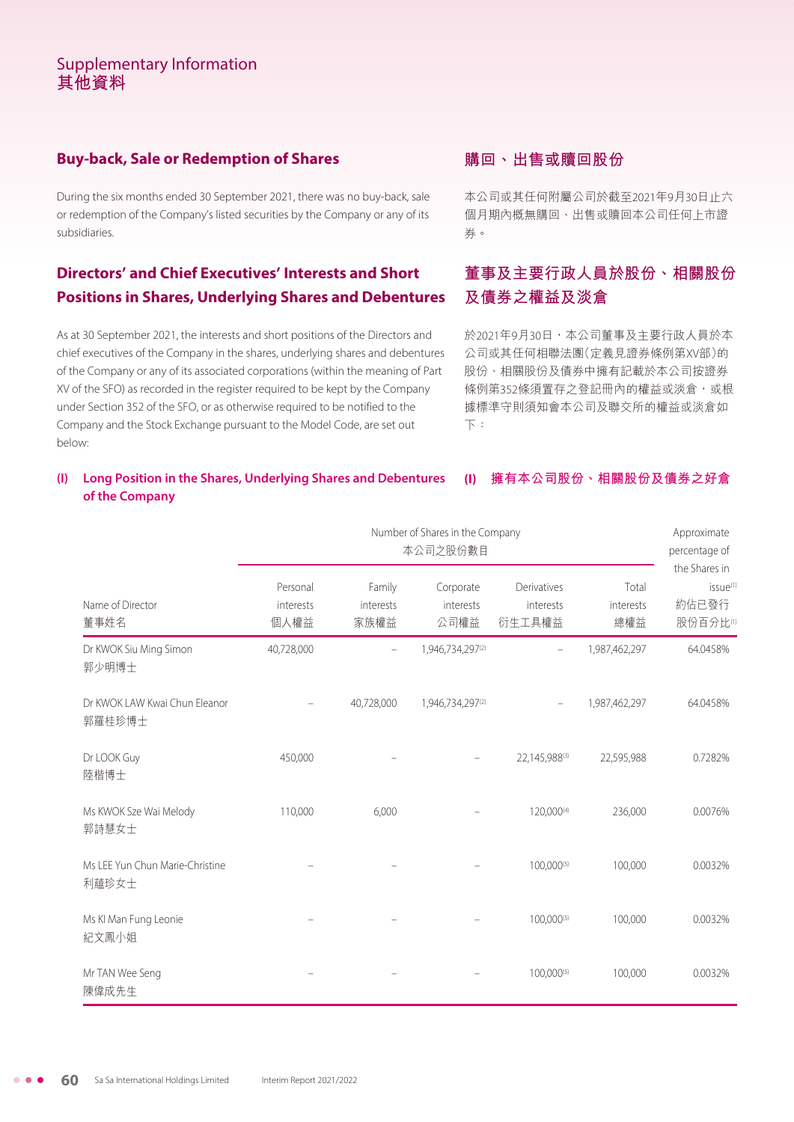### **Buy-back, Sale or Redemption of Shares**

During the six months ended 30 September 2021, there was no buy-back, sale or redemption of the Company's listed securities by the Company or any of its subsidiaries.

### **Directors' and Chief Executives' Interests and Short Positions in Shares, Underlying Shares and Debentures**

As at 30 September 2021, the interests and short positions of the Directors and chief executives of the Company in the shares, underlying shares and debentures of the Company or any of its associated corporations (within the meaning of Part XV of the SFO) as recorded in the register required to be kept by the Company under Section 352 of the SFO, or as otherwise required to be notified to the Company and the Stock Exchange pursuant to the Model Code, are set out below:

### **購回、出售或贖回股份**

本公司或其任何附屬公司於截至2021年9月30日止六 個月期內概無購回、出售或贖回本公司任何上市證 券。

## **董事及主要行政人員於股份、相關股份 及債券之權益及淡倉**

於2021年9月30日,本公司董事及主要行政人員於本 公司或其任何相聯法團(定義見證券條例第XV部)的 股份、相關股份及債券中擁有記載於本公司按證券 條例第352條須置存之登記冊內的權益或淡倉,或根 據標準守則須知會本公司及聯交所的權益或淡倉如 下:

#### **(I) Long Position in the Shares, Underlying Shares and Debentures of the Company (I) 擁有本公司股份、相關股份及債券之好倉**

|                                           |                               | Approximate<br>percentage of<br>the Shares in |                                |                                    |                           |                                           |
|-------------------------------------------|-------------------------------|-----------------------------------------------|--------------------------------|------------------------------------|---------------------------|-------------------------------------------|
| Name of Director<br>董事姓名                  | Personal<br>interests<br>個人權益 | Family<br>interests<br>家族權益                   | Corporate<br>interests<br>公司權益 | Derivatives<br>interests<br>衍生工具權益 | Total<br>interests<br>總權益 | issue <sup>(1)</sup><br>約佔已發行<br>股份百分比(1) |
| Dr KWOK Siu Ming Simon<br>郭少明博士           | 40,728,000                    |                                               | 1,946,734,297(2)               |                                    | 1,987,462,297             | 64.0458%                                  |
| Dr KWOK LAW Kwai Chun Eleanor<br>郭羅桂珍博士   |                               | 40,728,000                                    | 1,946,734,297(2)               | $\overline{\phantom{0}}$           | 1,987,462,297             | 64.0458%                                  |
| Dr LOOK Guy<br>陸楷博士                       | 450,000                       |                                               |                                | 22,145,988(3)                      | 22,595,988                | 0.7282%                                   |
| Ms KWOK Sze Wai Melody<br>郭詩慧女士           | 110,000                       | 6,000                                         |                                | 120,000(4)                         | 236,000                   | 0.0076%                                   |
| Ms I FF Yun Chun Marie-Christine<br>利蘊珍女士 |                               |                                               |                                | 100,000(5)                         | 100,000                   | 0.0032%                                   |
| Ms KI Man Fung Leonie<br>紀文鳳小姐            |                               |                                               |                                | 100,000(5)                         | 100,000                   | 0.0032%                                   |
| Mr TAN Wee Seng<br>陳偉成先生                  |                               |                                               |                                | 100,000(5)                         | 100,000                   | 0.0032%                                   |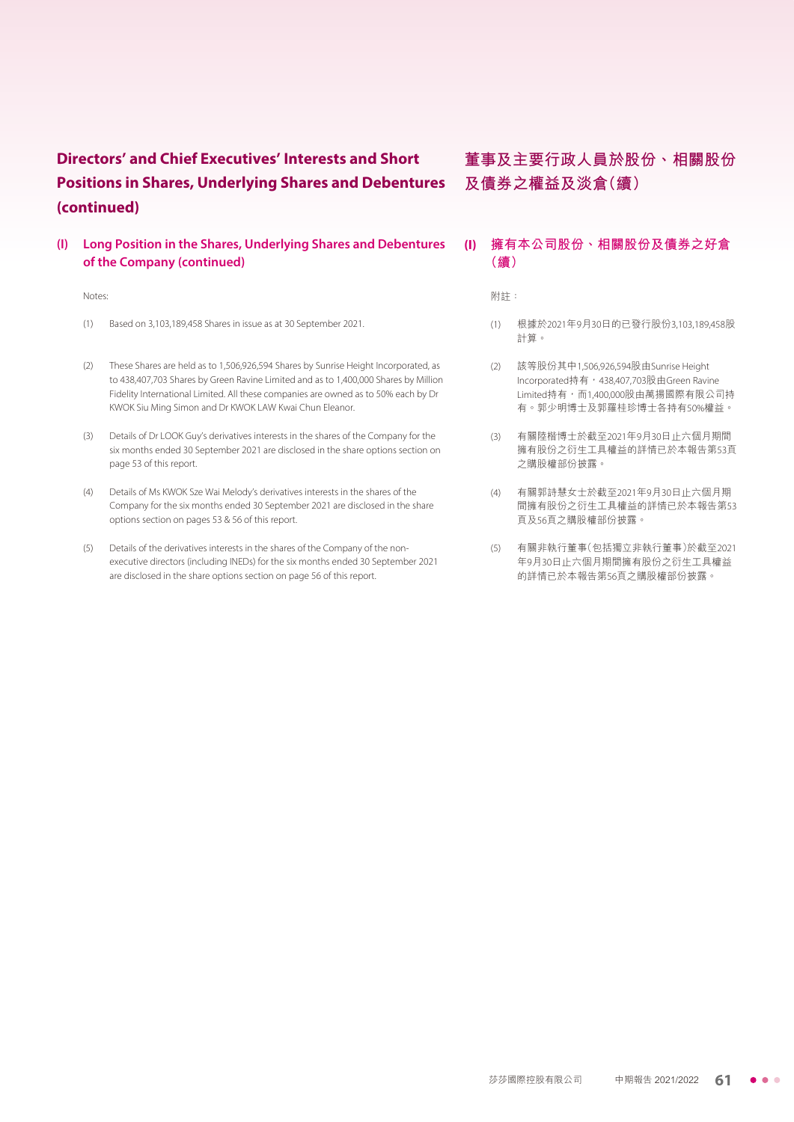**(I) Long Position in the Shares, Underlying Shares and Debentures of the Company (continued)**

#### Notes:

- (1) Based on 3,103,189,458 Shares in issue as at 30 September 2021.
- (2) These Shares are held as to 1,506,926,594 Shares by Sunrise Height Incorporated, as to 438,407,703 Shares by Green Ravine Limited and as to 1,400,000 Shares by Million Fidelity International Limited. All these companies are owned as to 50% each by Dr KWOK Siu Ming Simon and Dr KWOK LAW Kwai Chun Eleanor.
- (3) Details of Dr LOOK Guy's derivatives interests in the shares of the Company for the six months ended 30 September 2021 are disclosed in the share options section on page 53 of this report.
- (4) Details of Ms KWOK Sze Wai Melody's derivatives interests in the shares of the Company for the six months ended 30 September 2021 are disclosed in the share options section on pages 53 & 56 of this report.
- (5) Details of the derivatives interests in the shares of the Company of the nonexecutive directors (including INEDs) for the six months ended 30 September 2021 are disclosed in the share options section on page 56 of this report.

## **董事及主要行政人員於股份、相關股份 及債券之權益及淡倉(續)**

#### **(I) 擁有本公司股份、相關股份及債券之好倉 (續)**

附註:

- (1) 根據於2021年9月30日的已發行股份3,103,189,458股 計算。
- (2) 該等股份其中1,506,926,594股由Sunrise Height Incorporated持有,438,407,703股由Green Ravine  $L$ imited持有,而1,400,000股由萬揚國際有限公司持 有。郭少明博士及郭羅桂珍博士各持有50%權益。
- (3) 有關陸楷博士於截至2021年9月30日止六個月期間 擁有股份之衍生工具權益的詳情已於本報告第53頁 之購股權部份披露。
- (4) 有關郭詩慧女士於截至2021年9月30日止六個月期 間擁有股份之衍生工具權益的詳情已於本報告第53 頁及56頁之購股權部份披露。
- (5) 有關非執行董事(包括獨立非執行董事)於截至2021 年9月30日止六個月期間擁有股份之衍生工具權益 的詳情已於本報告第56頁之購股權部份披露。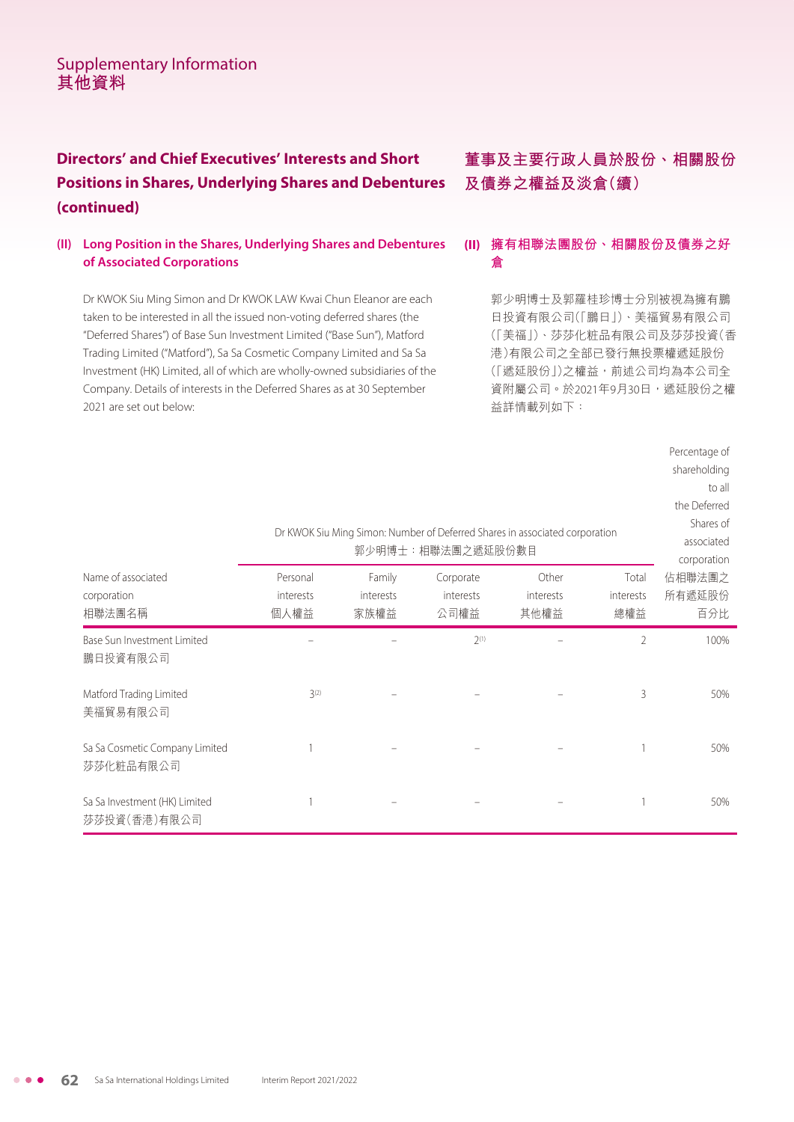## **Directors' and Chief Executives' Interests and Short Positions in Shares, Underlying Shares and Debentures (continued)**

#### **(II) Long Position in the Shares, Underlying Shares and Debentures of Associated Corporations**

Dr KWOK Siu Ming Simon and Dr KWOK LAW Kwai Chun Eleanor are each taken to be interested in all the issued non-voting deferred shares (the "Deferred Shares") of Base Sun Investment Limited ("Base Sun"), Matford Trading Limited ("Matford"), Sa Sa Cosmetic Company Limited and Sa Sa Investment (HK) Limited, all of which are wholly-owned subsidiaries of the Company. Details of interests in the Deferred Shares as at 30 September 2021 are set out below:

**董事及主要行政人員於股份、相關股份 及債券之權益及淡倉(續)**

### **(II) 擁有相聯法團股份、相關股份及債券之好 倉**

郭少明博士及郭羅桂珍博士分別被視為擁有鵬 日投資有限公司(「鵬日」)、美福貿易有限公司 (「美福」)、莎莎化粧品有限公司及莎莎投資(香 港)有限公司之全部已發行無投票權遞延股份 (「遞延股份」)之權益,前述公司均為本公司全 資附屬公司。於2021年9月30日,遞延股份之權 益詳情載列如下:

|                                               |                               |                             | Dr KWOK Siu Ming Simon: Number of Deferred Shares in associated corporation<br>郭少明博士:相聯法團之遞延股份數目 |                            |                           | Percentage of<br>shareholding<br>to all<br>the Deferred<br>Shares of<br>associated<br>corporation |
|-----------------------------------------------|-------------------------------|-----------------------------|--------------------------------------------------------------------------------------------------|----------------------------|---------------------------|---------------------------------------------------------------------------------------------------|
| Name of associated<br>corporation<br>相聯法團名稱   | Personal<br>interests<br>個人權益 | Family<br>interests<br>家族權益 | Corporate<br>interests<br>公司權益                                                                   | Other<br>interests<br>其他權益 | Total<br>interests<br>總權益 | 佔相聯法團之<br>所有遞延股份<br>百分比                                                                           |
| Base Sun Investment Limited<br>鵬日投資有限公司       |                               |                             | $2^{(1)}$                                                                                        |                            | 2                         | 100%                                                                                              |
| Matford Trading Limited<br>美福貿易有限公司           | $3^{(2)}$                     |                             |                                                                                                  |                            | 3                         | 50%                                                                                               |
| Sa Sa Cosmetic Company Limited<br>莎莎化粧品有限公司   |                               |                             |                                                                                                  |                            |                           | 50%                                                                                               |
| Sa Sa Investment (HK) Limited<br>莎莎投資(香港)有限公司 |                               |                             |                                                                                                  |                            |                           | 50%                                                                                               |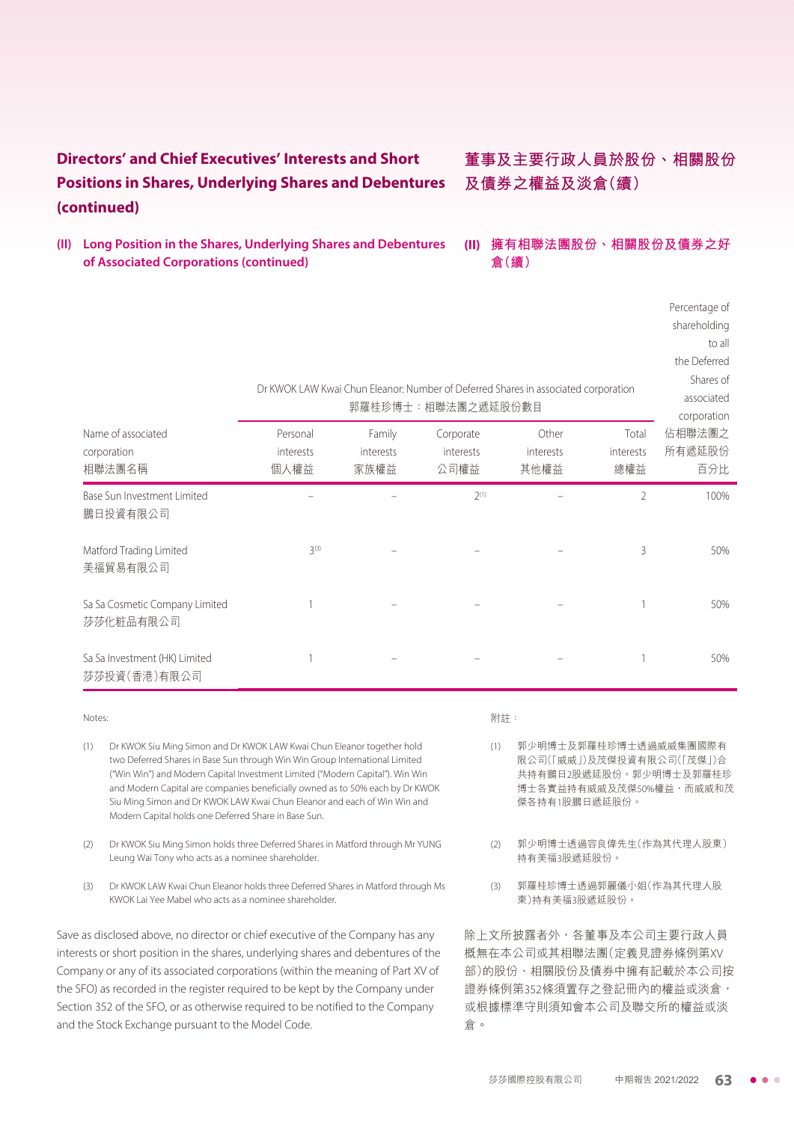## **Directors' and Chief Executives' Interests and Short Positions in Shares, Underlying Shares and Debentures (continued)**

**(II) Long Position in the Shares, Underlying Shares and Debentures of Associated Corporations (continued)**

## **董事及主要行政人員於股份、相關股份 及債券之權益及淡倉(續)**

#### **(II) 擁有相聯法團股份、相關股份及債券之好 倉(續)**

Percentage of shareholding

|                                               |                               |                             | Dr KWOK LAW Kwai Chun Eleanor: Number of Deferred Shares in associated corporation<br>郭羅桂珍博士:相聯法團之遞延股份數目 |                            |                           | to all<br>the Deferred<br>Shares of<br>associated<br>corporation |
|-----------------------------------------------|-------------------------------|-----------------------------|----------------------------------------------------------------------------------------------------------|----------------------------|---------------------------|------------------------------------------------------------------|
| Name of associated<br>corporation<br>相聯法團名稱   | Personal<br>interests<br>個人權益 | Family<br>interests<br>家族權益 | Corporate<br>interests<br>公司權益                                                                           | Other<br>interests<br>其他權益 | Total<br>interests<br>總權益 | 佔相聯法團之<br>所有遞延股份<br>百分比                                          |
| Base Sun Investment Limited<br>鵬日投資有限公司       |                               |                             | $2^{(1)}$                                                                                                |                            | $\overline{2}$            | 100%                                                             |
| Matford Trading Limited<br>美福貿易有限公司           | 3(3)                          |                             |                                                                                                          |                            | 3                         | 50%                                                              |
| Sa Sa Cosmetic Company Limited<br>莎莎化粧品有限公司   |                               |                             |                                                                                                          |                            |                           | 50%                                                              |
| Sa Sa Investment (HK) Limited<br>莎莎投資(香港)有限公司 |                               |                             |                                                                                                          |                            |                           | 50%                                                              |

#### Notes:

- (1) Dr KWOK Siu Ming Simon and Dr KWOK LAW Kwai Chun Eleanor together hold two Deferred Shares in Base Sun through Win Win Group International Limited ("Win Win") and Modern Capital Investment Limited ("Modern Capital"). Win Win and Modern Capital are companies beneficially owned as to 50% each by Dr KWOK Siu Ming Simon and Dr KWOK LAW Kwai Chun Eleanor and each of Win Win and Modern Capital holds one Deferred Share in Base Sun.
- (2) Dr KWOK Siu Ming Simon holds three Deferred Shares in Matford through Mr YUNG Leung Wai Tony who acts as a nominee shareholder.
- (3) Dr KWOK LAW Kwai Chun Eleanor holds three Deferred Shares in Matford through Ms KWOK Lai Yee Mabel who acts as a nominee shareholder.

Save as disclosed above, no director or chief executive of the Company has any interests or short position in the shares, underlying shares and debentures of the Company or any of its associated corporations (within the meaning of Part XV of the SFO) as recorded in the register required to be kept by the Company under Section 352 of the SFO, or as otherwise required to be notified to the Company and the Stock Exchange pursuant to the Model Code.

#### 附註:

- (1) 郭少明博士及郭羅桂珍博士透過威威集團國際有 限公司(「威威」)及茂傑投資有限公司(「茂傑」)合 共持有鵬日2股遞延股份。郭少明博士及郭羅桂珍 博士各實益持有威威及茂傑50%權益,而威威和茂 傑各持有1股鵬日遞延股份。
- (2) 郭少明博士透過容良偉先生(作為其代理人股東) 持有美福3股遞延股份。
- (3) 郭羅桂珍博士透過郭麗儀小姐(作為其代理人股 東)持有美福3股遞延股份。

除上文所披露者外,各董事及本公司主要行政人員 概無在本公司或其相聯法團(定義見證券條例第XV 部)的股份、相關股份及債券中擁有記載於本公司按 證券條例第352條須置存之登記冊內的權益或淡倉, 或根據標準守則須知會本公司及聯交所的權益或淡 倉。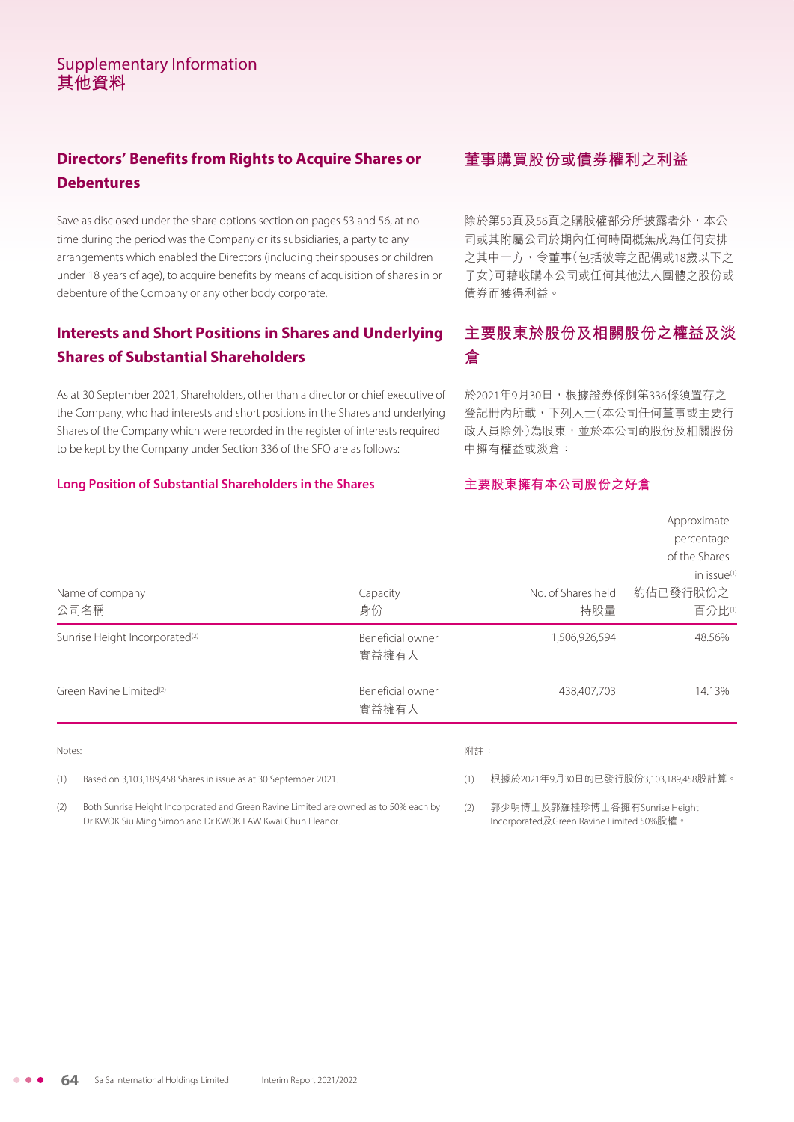## **Directors' Benefits from Rights to Acquire Shares or Debentures**

Save as disclosed under the share options section on pages 53 and 56, at no time during the period was the Company or its subsidiaries, a party to any arrangements which enabled the Directors (including their spouses or children under 18 years of age), to acquire benefits by means of acquisition of shares in or debenture of the Company or any other body corporate.

### **Interests and Short Positions in Shares and Underlying Shares of Substantial Shareholders**

As at 30 September 2021, Shareholders, other than a director or chief executive of the Company, who had interests and short positions in the Shares and underlying Shares of the Company which were recorded in the register of interests required to be kept by the Company under Section 336 of the SFO are as follows:

#### **Long Position of Substantial Shareholders in the Shares**

### **董事購買股份或債券權利之利益**

除於第53頁及56頁之購股權部分所披露者外,本公 司或其附屬公司於期內任何時間概無成為任何安排 之其中一方,令董事(包括彼等之配偶或18歲以下之 子女)可藉收購本公司或任何其他法人團體之股份或 債券而獲得利益。

## **主要股東於股份及相關股份之權益及淡 倉**

於2021年9月30日,根據證券條例第336條須置存之 登記冊內所載,下列人士(本公司任何董事或主要行 政人員除外)為股東,並於本公司的股份及相關股份 中擁有權益或淡倉:

#### **主要股東擁有本公司股份之好倉**

| Name of company<br>公司名稱                    | Capacity<br>身份            | No. of Shares held<br>持股量 | Approximate<br>percentage<br>of the Shares<br>in issue <sup>(1)</sup><br>約佔已發行股份之<br>百分比(1) |
|--------------------------------------------|---------------------------|---------------------------|---------------------------------------------------------------------------------------------|
| Sunrise Height Incorporated <sup>(2)</sup> | Beneficial owner<br>實益擁有人 | 1,506,926,594             | 48.56%                                                                                      |
| Green Ravine Limited <sup>(2)</sup>        | Beneficial owner<br>實益擁有人 | 438,407,703               | 14.13%                                                                                      |
| Notes:                                     | 附註:                       |                           |                                                                                             |

(1) Based on 3,103,189,458 Shares in issue as at 30 September 2021.

Dr KWOK Siu Ming Simon and Dr KWOK LAW Kwai Chun Eleanor.

(2) Both Sunrise Height Incorporated and Green Ravine Limited are owned as to 50% each by

#### 附註:

(1) 根據於2021年9月30日的已發行股份3,103,189,458股計算。

(2) 郭少明博士及郭羅桂珍博士各擁有Sunrise Height Incorporated及Green Ravine Limited 50%股權。